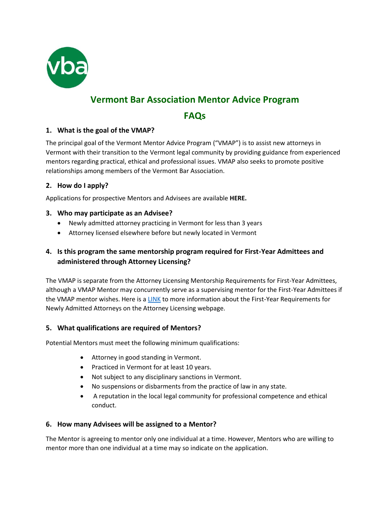

# **Vermont Bar Association Mentor Advice Program**

## **FAQs**

## **1. What is the goal of the VMAP?**

The principal goal of the Vermont Mentor Advice Program ("VMAP") is to assist new attorneys in Vermont with their transition to the Vermont legal community by providing guidance from experienced mentors regarding practical, ethical and professional issues. VMAP also seeks to promote positive relationships among members of the Vermont Bar Association.

#### **2. How do I apply?**

Applications for prospective Mentors and Advisees are available **HERE.**

#### **3. Who may participate as an Advisee?**

- Newly admitted attorney practicing in Vermont for less than 3 years
- Attorney licensed elsewhere before but newly located in Vermont

## **4. Is this program the same mentorship program required for First-Year Admittees and administered through Attorney Licensing?**

The VMAP is separate from the Attorney Licensing Mentorship Requirements for First-Year Admittees, although a VMAP Mentor may concurrently serve as a supervising mentor for the First-Year Admittees if the VMAP mentor wishes. Here is a [LINK](https://www.vtbar.org/wp-content/uploads/2022/02/Attorney-First-Year-Licensing-Info.pdf) to more information about the First-Year Requirements for Newly Admitted Attorneys on the Attorney Licensing webpage.

#### **5. What qualifications are required of Mentors?**

Potential Mentors must meet the following minimum qualifications:

- Attorney in good standing in Vermont.
- Practiced in Vermont for at least 10 years.
- Not subject to any disciplinary sanctions in Vermont.
- No suspensions or disbarments from the practice of law in any state.
- A reputation in the local legal community for professional competence and ethical conduct.

#### **6. How many Advisees will be assigned to a Mentor?**

The Mentor is agreeing to mentor only one individual at a time. However, Mentors who are willing to mentor more than one individual at a time may so indicate on the application.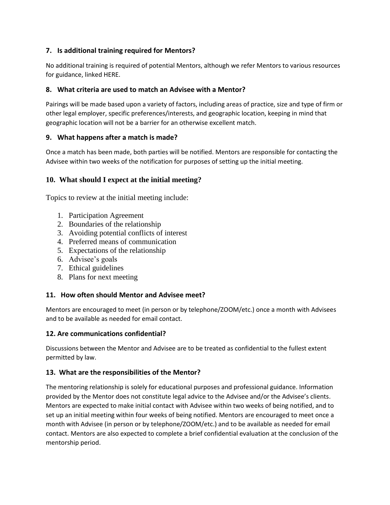## **7. Is additional training required for Mentors?**

No additional training is required of potential Mentors, although we refer Mentors to various resources for guidance, linked HERE.

## **8. What criteria are used to match an Advisee with a Mentor?**

Pairings will be made based upon a variety of factors, including areas of practice, size and type of firm or other legal employer, specific preferences/interests, and geographic location, keeping in mind that geographic location will not be a barrier for an otherwise excellent match.

## **9. What happens after a match is made?**

Once a match has been made, both parties will be notified. Mentors are responsible for contacting the Advisee within two weeks of the notification for purposes of setting up the initial meeting.

## **10. What should I expect at the initial meeting?**

Topics to review at the initial meeting include:

- 1. Participation Agreement
- 2. Boundaries of the relationship
- 3. Avoiding potential conflicts of interest
- 4. Preferred means of communication
- 5. Expectations of the relationship
- 6. Advisee's goals
- 7. Ethical guidelines
- 8. Plans for next meeting

## **11. How often should Mentor and Advisee meet?**

Mentors are encouraged to meet (in person or by telephone/ZOOM/etc.) once a month with Advisees and to be available as needed for email contact.

#### **12. Are communications confidential?**

Discussions between the Mentor and Advisee are to be treated as confidential to the fullest extent permitted by law.

#### **13. What are the responsibilities of the Mentor?**

The mentoring relationship is solely for educational purposes and professional guidance. Information provided by the Mentor does not constitute legal advice to the Advisee and/or the Advisee's clients. Mentors are expected to make initial contact with Advisee within two weeks of being notified, and to set up an initial meeting within four weeks of being notified. Mentors are encouraged to meet once a month with Advisee (in person or by telephone/ZOOM/etc.) and to be available as needed for email contact. Mentors are also expected to complete a brief confidential evaluation at the conclusion of the mentorship period.